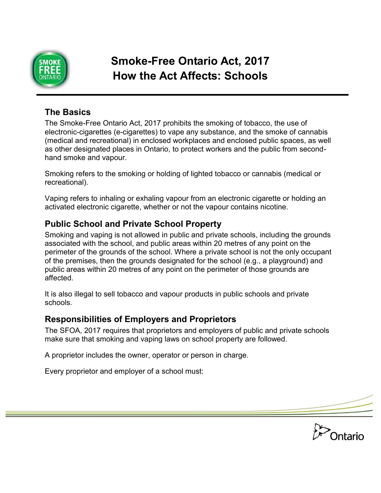

# **Smoke-Free Ontario Act, 2017 How the Act Affects: Schools**

### **The Basics**

The Smoke-Free Ontario Act, 2017 prohibits the smoking of tobacco, the use of electronic-cigarettes (e-cigarettes) to vape any substance, and the smoke of cannabis (medical and recreational) in enclosed workplaces and enclosed public spaces, as well as other designated places in Ontario, to protect workers and the public from secondhand smoke and vapour.

Smoking refers to the smoking or holding of lighted tobacco or cannabis (medical or recreational).

Vaping refers to inhaling or exhaling vapour from an electronic cigarette or holding an activated electronic cigarette, whether or not the vapour contains nicotine.

#### **Public School and Private School Property**

Smoking and vaping is not allowed in public and private schools, including the grounds associated with the school, and public areas within 20 metres of any point on the perimeter of the grounds of the school. Where a private school is not the only occupant of the premises, then the grounds designated for the school (e.g., a playground) and public areas within 20 metres of any point on the perimeter of those grounds are affected.

It is also illegal to sell tobacco and vapour products in public schools and private schools.

#### **Responsibilities of Employers and Proprietors**

The SFOA, 2017 requires that proprietors and employers of public and private schools make sure that smoking and vaping laws on school property are followed.

A proprietor includes the owner, operator or person in charge.

Every proprietor and employer of a school must:

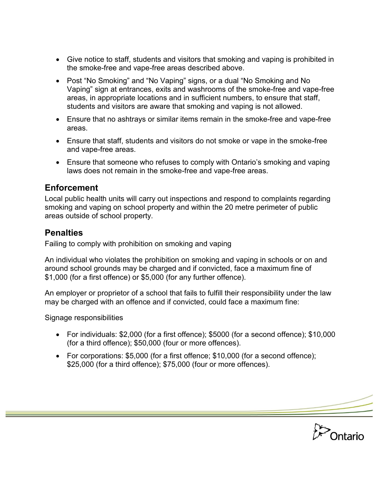- Give notice to staff, students and visitors that smoking and vaping is prohibited in the smoke-free and vape-free areas described above.
- Post "No Smoking" and "No Vaping" signs, or a dual "No Smoking and No Vaping" sign at entrances, exits and washrooms of the smoke-free and vape-free areas, in appropriate locations and in sufficient numbers, to ensure that staff, students and visitors are aware that smoking and vaping is not allowed.
- Ensure that no ashtrays or similar items remain in the smoke-free and vape-free areas.
- Ensure that staff, students and visitors do not smoke or vape in the smoke-free and vape-free areas.
- Ensure that someone who refuses to comply with Ontario's smoking and vaping laws does not remain in the smoke-free and vape-free areas.

#### **Enforcement**

Local public health units will carry out inspections and respond to complaints regarding smoking and vaping on school property and within the 20 metre perimeter of public areas outside of school property.

## **Penalties**

Failing to comply with prohibition on smoking and vaping

An individual who violates the prohibition on smoking and vaping in schools or on and around school grounds may be charged and if convicted, face a maximum fine of \$1,000 (for a first offence) or \$5,000 (for any further offence).

An employer or proprietor of a school that fails to fulfill their responsibility under the law may be charged with an offence and if convicted, could face a maximum fine:

Signage responsibilities

- For individuals: \$2,000 (for a first offence); \$5000 (for a second offence); \$10,000 (for a third offence); \$50,000 (four or more offences).
- For corporations: \$5,000 (for a first offence; \$10,000 (for a second offence); \$25,000 (for a third offence); \$75,000 (four or more offences).